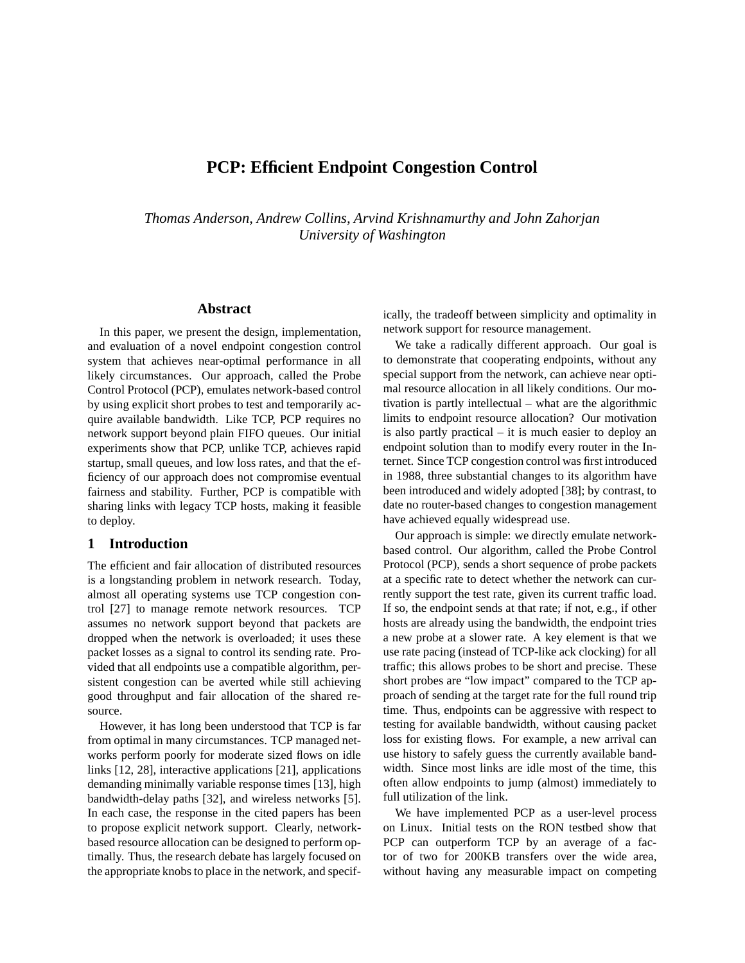# **PCP: Efficient Endpoint Congestion Control**

*Thomas Anderson, Andrew Collins, Arvind Krishnamurthy and John Zahorjan University of Washington*

#### **Abstract**

In this paper, we present the design, implementation, and evaluation of a novel endpoint congestion control system that achieves near-optimal performance in all likely circumstances. Our approach, called the Probe Control Protocol (PCP), emulates network-based control by using explicit short probes to test and temporarily acquire available bandwidth. Like TCP, PCP requires no network support beyond plain FIFO queues. Our initial experiments show that PCP, unlike TCP, achieves rapid startup, small queues, and low loss rates, and that the efficiency of our approach does not compromise eventual fairness and stability. Further, PCP is compatible with sharing links with legacy TCP hosts, making it feasible to deploy.

# **1 Introduction**

The efficient and fair allocation of distributed resources is a longstanding problem in network research. Today, almost all operating systems use TCP congestion control [27] to manage remote network resources. TCP assumes no network support beyond that packets are dropped when the network is overloaded; it uses these packet losses as a signal to control its sending rate. Provided that all endpoints use a compatible algorithm, persistent congestion can be averted while still achieving good throughput and fair allocation of the shared resource.

However, it has long been understood that TCP is far from optimal in many circumstances. TCP managed networks perform poorly for moderate sized flows on idle links [12, 28], interactive applications [21], applications demanding minimally variable response times [13], high bandwidth-delay paths [32], and wireless networks [5]. In each case, the response in the cited papers has been to propose explicit network support. Clearly, networkbased resource allocation can be designed to perform optimally. Thus, the research debate has largely focused on the appropriate knobs to place in the network, and specifically, the tradeoff between simplicity and optimality in network support for resource management.

We take a radically different approach. Our goal is to demonstrate that cooperating endpoints, without any special support from the network, can achieve near optimal resource allocation in all likely conditions. Our motivation is partly intellectual – what are the algorithmic limits to endpoint resource allocation? Our motivation is also partly practical – it is much easier to deploy an endpoint solution than to modify every router in the Internet. Since TCP congestion control was first introduced in 1988, three substantial changes to its algorithm have been introduced and widely adopted [38]; by contrast, to date no router-based changes to congestion management have achieved equally widespread use.

Our approach is simple: we directly emulate networkbased control. Our algorithm, called the Probe Control Protocol (PCP), sends a short sequence of probe packets at a specific rate to detect whether the network can currently support the test rate, given its current traffic load. If so, the endpoint sends at that rate; if not, e.g., if other hosts are already using the bandwidth, the endpoint tries a new probe at a slower rate. A key element is that we use rate pacing (instead of TCP-like ack clocking) for all traffic; this allows probes to be short and precise. These short probes are "low impact" compared to the TCP approach of sending at the target rate for the full round trip time. Thus, endpoints can be aggressive with respect to testing for available bandwidth, without causing packet loss for existing flows. For example, a new arrival can use history to safely guess the currently available bandwidth. Since most links are idle most of the time, this often allow endpoints to jump (almost) immediately to full utilization of the link.

We have implemented PCP as a user-level process on Linux. Initial tests on the RON testbed show that PCP can outperform TCP by an average of a factor of two for 200KB transfers over the wide area, without having any measurable impact on competing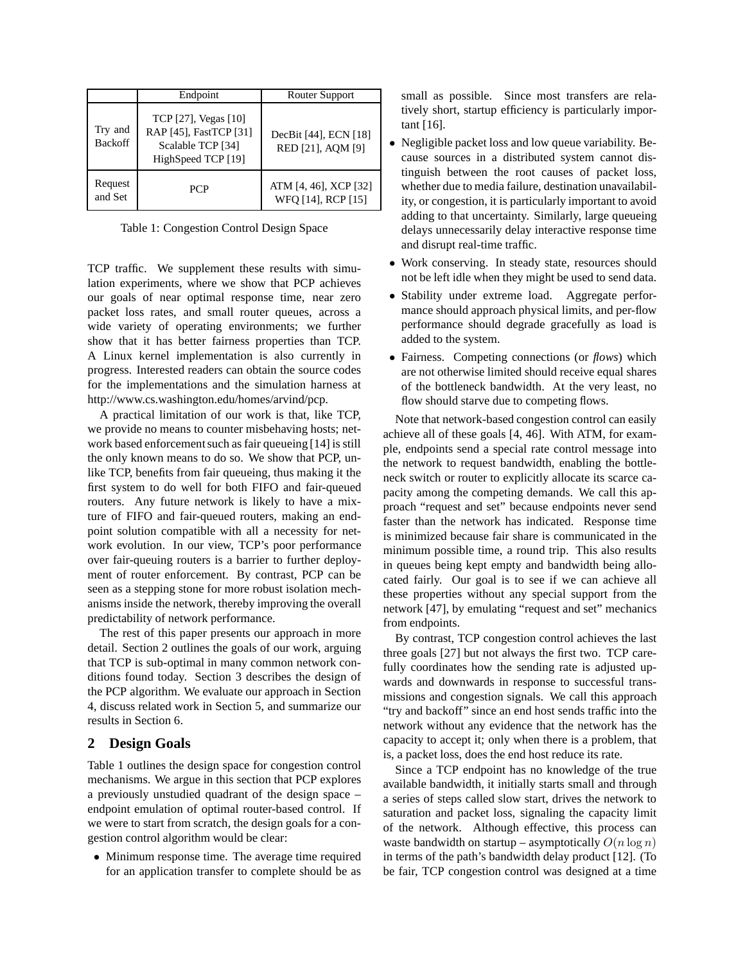|                           | Endpoint                                                                                  | Router Support                              |
|---------------------------|-------------------------------------------------------------------------------------------|---------------------------------------------|
| Try and<br><b>Backoff</b> | TCP [27], Vegas [10]<br>RAP [45], FastTCP [31]<br>Scalable TCP [34]<br>HighSpeed TCP [19] | DecBit [44], ECN [18]<br>RED [21], AQM [9]  |
| Request<br>and Set        | <b>PCP</b>                                                                                | ATM [4, 46], XCP [32]<br>WFQ [14], RCP [15] |

Table 1: Congestion Control Design Space

TCP traffic. We supplement these results with simulation experiments, where we show that PCP achieves our goals of near optimal response time, near zero packet loss rates, and small router queues, across a wide variety of operating environments; we further show that it has better fairness properties than TCP. A Linux kernel implementation is also currently in progress. Interested readers can obtain the source codes for the implementations and the simulation harness at http://www.cs.washington.edu/homes/arvind/pcp.

A practical limitation of our work is that, like TCP, we provide no means to counter misbehaving hosts; network based enforcement such as fair queueing [14] is still the only known means to do so. We show that PCP, unlike TCP, benefits from fair queueing, thus making it the first system to do well for both FIFO and fair-queued routers. Any future network is likely to have a mixture of FIFO and fair-queued routers, making an endpoint solution compatible with all a necessity for network evolution. In our view, TCP's poor performance over fair-queuing routers is a barrier to further deployment of router enforcement. By contrast, PCP can be seen as a stepping stone for more robust isolation mechanisms inside the network, thereby improving the overall predictability of network performance.

The rest of this paper presents our approach in more detail. Section 2 outlines the goals of our work, arguing that TCP is sub-optimal in many common network conditions found today. Section 3 describes the design of the PCP algorithm. We evaluate our approach in Section 4, discuss related work in Section 5, and summarize our results in Section 6.

## **2 Design Goals**

Table 1 outlines the design space for congestion control mechanisms. We argue in this section that PCP explores a previously unstudied quadrant of the design space – endpoint emulation of optimal router-based control. If we were to start from scratch, the design goals for a congestion control algorithm would be clear:

• Minimum response time. The average time required for an application transfer to complete should be as

small as possible. Since most transfers are relatively short, startup efficiency is particularly important [16].

- Negligible packet loss and low queue variability. Because sources in a distributed system cannot distinguish between the root causes of packet loss, whether due to media failure, destination unavailability, or congestion, it is particularly important to avoid adding to that uncertainty. Similarly, large queueing delays unnecessarily delay interactive response time and disrupt real-time traffic.
- Work conserving. In steady state, resources should not be left idle when they might be used to send data.
- Stability under extreme load. Aggregate performance should approach physical limits, and per-flow performance should degrade gracefully as load is added to the system.
- Fairness. Competing connections (or *flows*) which are not otherwise limited should receive equal shares of the bottleneck bandwidth. At the very least, no flow should starve due to competing flows.

Note that network-based congestion control can easily achieve all of these goals [4, 46]. With ATM, for example, endpoints send a special rate control message into the network to request bandwidth, enabling the bottleneck switch or router to explicitly allocate its scarce capacity among the competing demands. We call this approach "request and set" because endpoints never send faster than the network has indicated. Response time is minimized because fair share is communicated in the minimum possible time, a round trip. This also results in queues being kept empty and bandwidth being allocated fairly. Our goal is to see if we can achieve all these properties without any special support from the network [47], by emulating "request and set" mechanics from endpoints.

By contrast, TCP congestion control achieves the last three goals [27] but not always the first two. TCP carefully coordinates how the sending rate is adjusted upwards and downwards in response to successful transmissions and congestion signals. We call this approach "try and backoff" since an end host sends traffic into the network without any evidence that the network has the capacity to accept it; only when there is a problem, that is, a packet loss, does the end host reduce its rate.

Since a TCP endpoint has no knowledge of the true available bandwidth, it initially starts small and through a series of steps called slow start, drives the network to saturation and packet loss, signaling the capacity limit of the network. Although effective, this process can waste bandwidth on startup – asymptotically  $O(n \log n)$ in terms of the path's bandwidth delay product [12]. (To be fair, TCP congestion control was designed at a time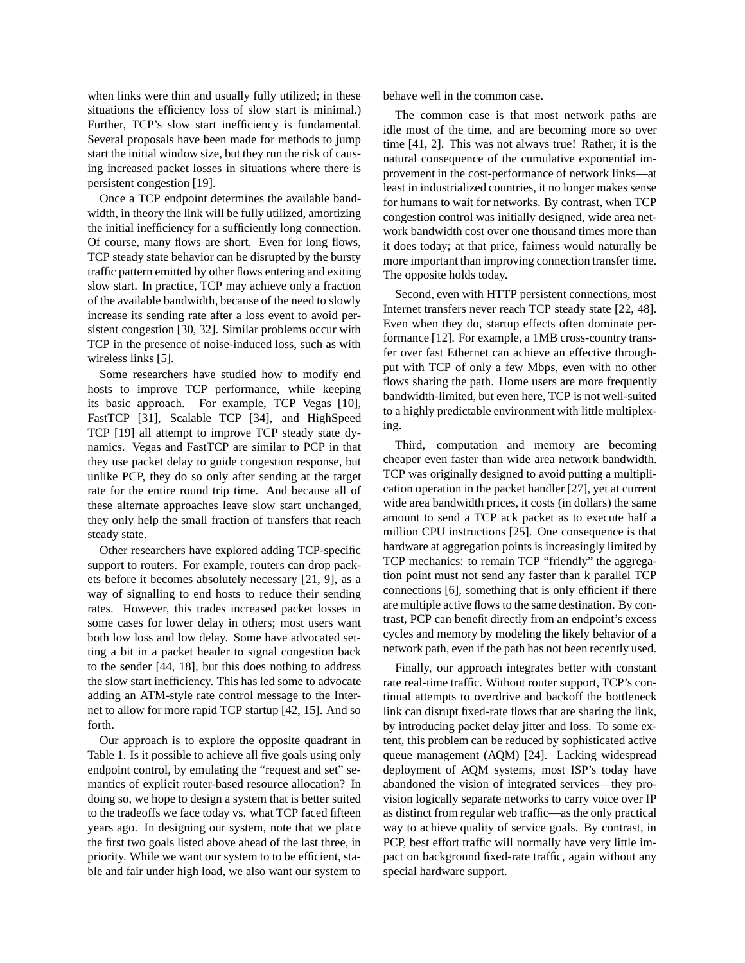when links were thin and usually fully utilized; in these situations the efficiency loss of slow start is minimal.) Further, TCP's slow start inefficiency is fundamental. Several proposals have been made for methods to jump start the initial window size, but they run the risk of causing increased packet losses in situations where there is persistent congestion [19].

Once a TCP endpoint determines the available bandwidth, in theory the link will be fully utilized, amortizing the initial inefficiency for a sufficiently long connection. Of course, many flows are short. Even for long flows, TCP steady state behavior can be disrupted by the bursty traffic pattern emitted by other flows entering and exiting slow start. In practice, TCP may achieve only a fraction of the available bandwidth, because of the need to slowly increase its sending rate after a loss event to avoid persistent congestion [30, 32]. Similar problems occur with TCP in the presence of noise-induced loss, such as with wireless links [5].

Some researchers have studied how to modify end hosts to improve TCP performance, while keeping its basic approach. For example, TCP Vegas [10], FastTCP [31], Scalable TCP [34], and HighSpeed TCP [19] all attempt to improve TCP steady state dynamics. Vegas and FastTCP are similar to PCP in that they use packet delay to guide congestion response, but unlike PCP, they do so only after sending at the target rate for the entire round trip time. And because all of these alternate approaches leave slow start unchanged, they only help the small fraction of transfers that reach steady state.

Other researchers have explored adding TCP-specific support to routers. For example, routers can drop packets before it becomes absolutely necessary [21, 9], as a way of signalling to end hosts to reduce their sending rates. However, this trades increased packet losses in some cases for lower delay in others; most users want both low loss and low delay. Some have advocated setting a bit in a packet header to signal congestion back to the sender [44, 18], but this does nothing to address the slow start inefficiency. This has led some to advocate adding an ATM-style rate control message to the Internet to allow for more rapid TCP startup [42, 15]. And so forth.

Our approach is to explore the opposite quadrant in Table 1. Is it possible to achieve all five goals using only endpoint control, by emulating the "request and set" semantics of explicit router-based resource allocation? In doing so, we hope to design a system that is better suited to the tradeoffs we face today vs. what TCP faced fifteen years ago. In designing our system, note that we place the first two goals listed above ahead of the last three, in priority. While we want our system to to be efficient, stable and fair under high load, we also want our system to behave well in the common case.

The common case is that most network paths are idle most of the time, and are becoming more so over time [41, 2]. This was not always true! Rather, it is the natural consequence of the cumulative exponential improvement in the cost-performance of network links—at least in industrialized countries, it no longer makes sense for humans to wait for networks. By contrast, when TCP congestion control was initially designed, wide area network bandwidth cost over one thousand times more than it does today; at that price, fairness would naturally be more important than improving connection transfer time. The opposite holds today.

Second, even with HTTP persistent connections, most Internet transfers never reach TCP steady state [22, 48]. Even when they do, startup effects often dominate performance [12]. For example, a 1MB cross-country transfer over fast Ethernet can achieve an effective throughput with TCP of only a few Mbps, even with no other flows sharing the path. Home users are more frequently bandwidth-limited, but even here, TCP is not well-suited to a highly predictable environment with little multiplexing.

Third, computation and memory are becoming cheaper even faster than wide area network bandwidth. TCP was originally designed to avoid putting a multiplication operation in the packet handler [27], yet at current wide area bandwidth prices, it costs (in dollars) the same amount to send a TCP ack packet as to execute half a million CPU instructions [25]. One consequence is that hardware at aggregation points is increasingly limited by TCP mechanics: to remain TCP "friendly" the aggregation point must not send any faster than k parallel TCP connections [6], something that is only efficient if there are multiple active flows to the same destination. By contrast, PCP can benefit directly from an endpoint's excess cycles and memory by modeling the likely behavior of a network path, even if the path has not been recently used.

Finally, our approach integrates better with constant rate real-time traffic. Without router support, TCP's continual attempts to overdrive and backoff the bottleneck link can disrupt fixed-rate flows that are sharing the link, by introducing packet delay jitter and loss. To some extent, this problem can be reduced by sophisticated active queue management (AQM) [24]. Lacking widespread deployment of AQM systems, most ISP's today have abandoned the vision of integrated services—they provision logically separate networks to carry voice over IP as distinct from regular web traffic—as the only practical way to achieve quality of service goals. By contrast, in PCP, best effort traffic will normally have very little impact on background fixed-rate traffic, again without any special hardware support.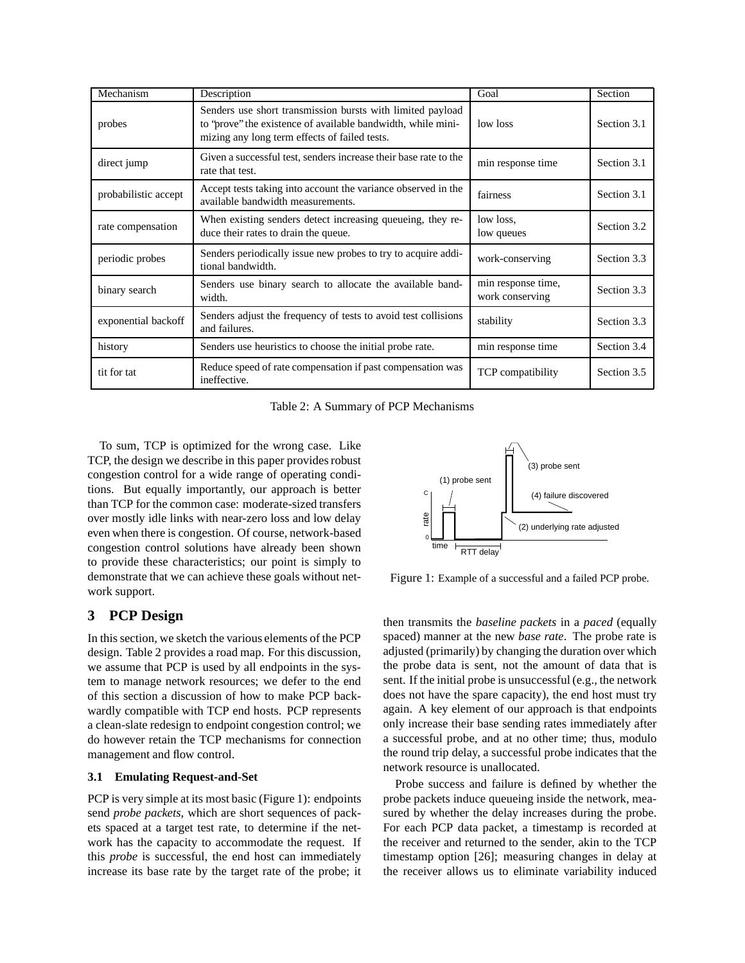| Mechanism            | Description                                                                                                                                                                  | Goal                                  | Section     |
|----------------------|------------------------------------------------------------------------------------------------------------------------------------------------------------------------------|---------------------------------------|-------------|
| probes               | Senders use short transmission bursts with limited payload<br>to 'prove'' the existence of available bandwidth, while mini-<br>mizing any long term effects of failed tests. | low loss                              | Section 3.1 |
| direct jump          | Given a successful test, senders increase their base rate to the<br>rate that test.                                                                                          | min response time                     | Section 3.1 |
| probabilistic accept | Accept tests taking into account the variance observed in the<br>available bandwidth measurements.                                                                           | fairness                              | Section 3.1 |
| rate compensation    | When existing senders detect increasing queueing, they re-<br>duce their rates to drain the queue.                                                                           | low loss,<br>low queues               | Section 3.2 |
| periodic probes      | Senders periodically issue new probes to try to acquire addi-<br>tional bandwidth.                                                                                           | work-conserving                       | Section 3.3 |
| binary search        | Senders use binary search to allocate the available band-<br>width.                                                                                                          | min response time,<br>work conserving | Section 3.3 |
| exponential backoff  | Senders adjust the frequency of tests to avoid test collisions<br>and failures.                                                                                              | stability                             | Section 3.3 |
| history              | Senders use heuristics to choose the initial probe rate.                                                                                                                     | min response time                     | Section 3.4 |
| tit for tat          | Reduce speed of rate compensation if past compensation was<br>ineffective.                                                                                                   | <b>TCP</b> compatibility              | Section 3.5 |

Table 2: A Summary of PCP Mechanisms

To sum, TCP is optimized for the wrong case. Like TCP, the design we describe in this paper provides robust congestion control for a wide range of operating conditions. But equally importantly, our approach is better than TCP for the common case: moderate-sized transfers over mostly idle links with near-zero loss and low delay even when there is congestion. Of course, network-based congestion control solutions have already been shown to provide these characteristics; our point is simply to demonstrate that we can achieve these goals without network support.

# **3 PCP Design**

In this section, we sketch the various elements of the PCP design. Table 2 provides a road map. For this discussion, we assume that PCP is used by all endpoints in the system to manage network resources; we defer to the end of this section a discussion of how to make PCP backwardly compatible with TCP end hosts. PCP represents a clean-slate redesign to endpoint congestion control; we do however retain the TCP mechanisms for connection management and flow control.

## **3.1 Emulating Request-and-Set**

PCP is very simple at its most basic (Figure 1): endpoints send *probe packets*, which are short sequences of packets spaced at a target test rate, to determine if the network has the capacity to accommodate the request. If this *probe* is successful, the end host can immediately increase its base rate by the target rate of the probe; it



Figure 1: Example of a successful and a failed PCP probe.

then transmits the *baseline packets* in a *paced* (equally spaced) manner at the new *base rate*. The probe rate is adjusted (primarily) by changing the duration over which the probe data is sent, not the amount of data that is sent. If the initial probe is unsuccessful (e.g., the network does not have the spare capacity), the end host must try again. A key element of our approach is that endpoints only increase their base sending rates immediately after a successful probe, and at no other time; thus, modulo the round trip delay, a successful probe indicates that the network resource is unallocated.

Probe success and failure is defined by whether the probe packets induce queueing inside the network, measured by whether the delay increases during the probe. For each PCP data packet, a timestamp is recorded at the receiver and returned to the sender, akin to the TCP timestamp option [26]; measuring changes in delay at the receiver allows us to eliminate variability induced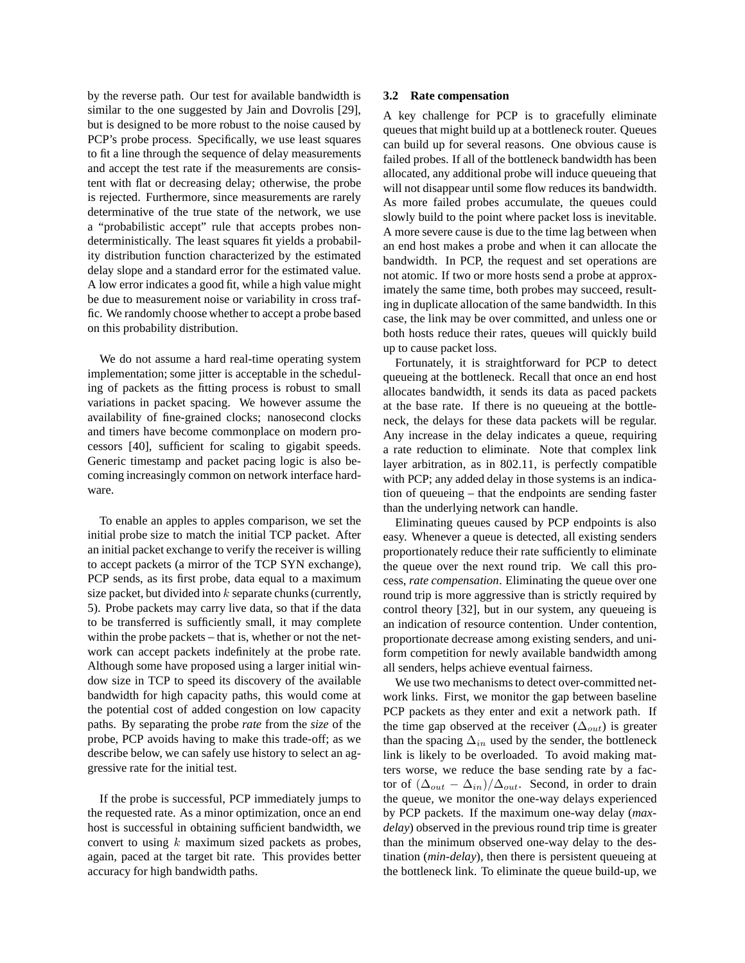by the reverse path. Our test for available bandwidth is similar to the one suggested by Jain and Dovrolis [29], but is designed to be more robust to the noise caused by PCP's probe process. Specifically, we use least squares to fit a line through the sequence of delay measurements and accept the test rate if the measurements are consistent with flat or decreasing delay; otherwise, the probe is rejected. Furthermore, since measurements are rarely determinative of the true state of the network, we use a "probabilistic accept" rule that accepts probes nondeterministically. The least squares fit yields a probability distribution function characterized by the estimated delay slope and a standard error for the estimated value. A low error indicates a good fit, while a high value might be due to measurement noise or variability in cross traffic. We randomly choose whether to accept a probe based on this probability distribution.

We do not assume a hard real-time operating system implementation; some jitter is acceptable in the scheduling of packets as the fitting process is robust to small variations in packet spacing. We however assume the availability of fine-grained clocks; nanosecond clocks and timers have become commonplace on modern processors [40], sufficient for scaling to gigabit speeds. Generic timestamp and packet pacing logic is also becoming increasingly common on network interface hardware.

To enable an apples to apples comparison, we set the initial probe size to match the initial TCP packet. After an initial packet exchange to verify the receiver is willing to accept packets (a mirror of the TCP SYN exchange), PCP sends, as its first probe, data equal to a maximum size packet, but divided into  $k$  separate chunks (currently, 5). Probe packets may carry live data, so that if the data to be transferred is sufficiently small, it may complete within the probe packets – that is, whether or not the network can accept packets indefinitely at the probe rate. Although some have proposed using a larger initial window size in TCP to speed its discovery of the available bandwidth for high capacity paths, this would come at the potential cost of added congestion on low capacity paths. By separating the probe *rate* from the *size* of the probe, PCP avoids having to make this trade-off; as we describe below, we can safely use history to select an aggressive rate for the initial test.

If the probe is successful, PCP immediately jumps to the requested rate. As a minor optimization, once an end host is successful in obtaining sufficient bandwidth, we convert to using  $k$  maximum sized packets as probes, again, paced at the target bit rate. This provides better accuracy for high bandwidth paths.

#### **3.2 Rate compensation**

A key challenge for PCP is to gracefully eliminate queues that might build up at a bottleneck router. Queues can build up for several reasons. One obvious cause is failed probes. If all of the bottleneck bandwidth has been allocated, any additional probe will induce queueing that will not disappear until some flow reduces its bandwidth. As more failed probes accumulate, the queues could slowly build to the point where packet loss is inevitable. A more severe cause is due to the time lag between when an end host makes a probe and when it can allocate the bandwidth. In PCP, the request and set operations are not atomic. If two or more hosts send a probe at approximately the same time, both probes may succeed, resulting in duplicate allocation of the same bandwidth. In this case, the link may be over committed, and unless one or both hosts reduce their rates, queues will quickly build up to cause packet loss.

Fortunately, it is straightforward for PCP to detect queueing at the bottleneck. Recall that once an end host allocates bandwidth, it sends its data as paced packets at the base rate. If there is no queueing at the bottleneck, the delays for these data packets will be regular. Any increase in the delay indicates a queue, requiring a rate reduction to eliminate. Note that complex link layer arbitration, as in 802.11, is perfectly compatible with PCP; any added delay in those systems is an indication of queueing – that the endpoints are sending faster than the underlying network can handle.

Eliminating queues caused by PCP endpoints is also easy. Whenever a queue is detected, all existing senders proportionately reduce their rate sufficiently to eliminate the queue over the next round trip. We call this process, *rate compensation*. Eliminating the queue over one round trip is more aggressive than is strictly required by control theory [32], but in our system, any queueing is an indication of resource contention. Under contention, proportionate decrease among existing senders, and uniform competition for newly available bandwidth among all senders, helps achieve eventual fairness.

We use two mechanisms to detect over-committed network links. First, we monitor the gap between baseline PCP packets as they enter and exit a network path. If the time gap observed at the receiver  $(\Delta_{out})$  is greater than the spacing  $\Delta_{in}$  used by the sender, the bottleneck link is likely to be overloaded. To avoid making matters worse, we reduce the base sending rate by a factor of  $(\Delta_{out} - \Delta_{in})/\Delta_{out}$ . Second, in order to drain the queue, we monitor the one-way delays experienced by PCP packets. If the maximum one-way delay (*maxdelay*) observed in the previous round trip time is greater than the minimum observed one-way delay to the destination (*min-delay*), then there is persistent queueing at the bottleneck link. To eliminate the queue build-up, we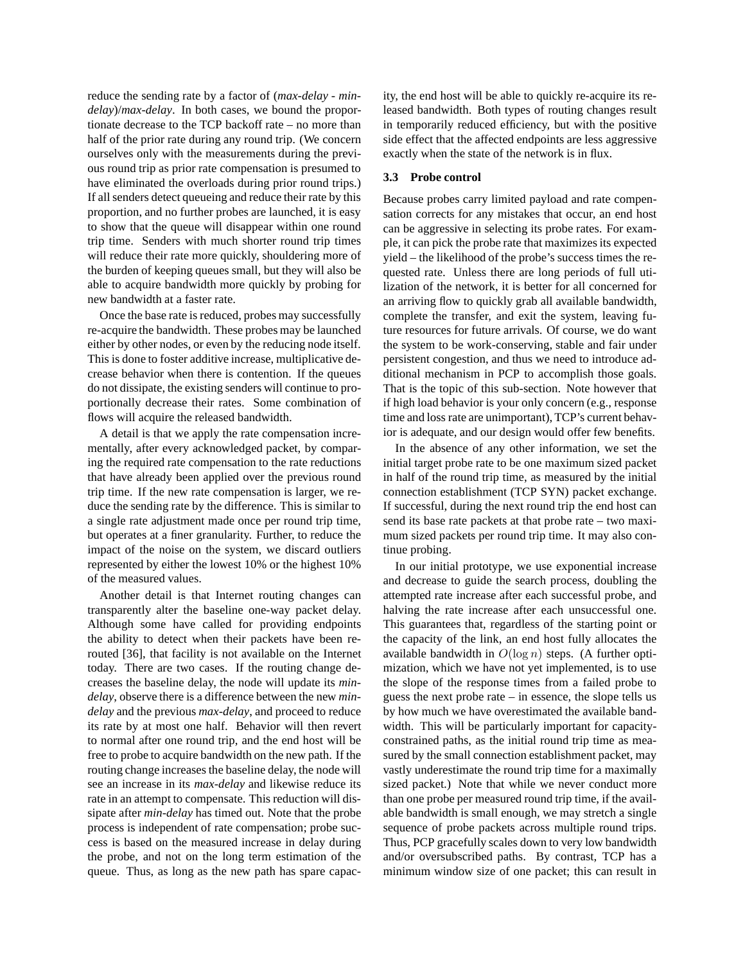reduce the sending rate by a factor of (*max-delay* - *mindelay*)/*max-delay*. In both cases, we bound the proportionate decrease to the TCP backoff rate – no more than half of the prior rate during any round trip. (We concern ourselves only with the measurements during the previous round trip as prior rate compensation is presumed to have eliminated the overloads during prior round trips.) If all senders detect queueing and reduce their rate by this proportion, and no further probes are launched, it is easy to show that the queue will disappear within one round trip time. Senders with much shorter round trip times will reduce their rate more quickly, shouldering more of the burden of keeping queues small, but they will also be able to acquire bandwidth more quickly by probing for new bandwidth at a faster rate.

Once the base rate is reduced, probes may successfully re-acquire the bandwidth. These probes may be launched either by other nodes, or even by the reducing node itself. This is done to foster additive increase, multiplicative decrease behavior when there is contention. If the queues do not dissipate, the existing senders will continue to proportionally decrease their rates. Some combination of flows will acquire the released bandwidth.

A detail is that we apply the rate compensation incrementally, after every acknowledged packet, by comparing the required rate compensation to the rate reductions that have already been applied over the previous round trip time. If the new rate compensation is larger, we reduce the sending rate by the difference. This is similar to a single rate adjustment made once per round trip time, but operates at a finer granularity. Further, to reduce the impact of the noise on the system, we discard outliers represented by either the lowest 10% or the highest 10% of the measured values.

Another detail is that Internet routing changes can transparently alter the baseline one-way packet delay. Although some have called for providing endpoints the ability to detect when their packets have been rerouted [36], that facility is not available on the Internet today. There are two cases. If the routing change decreases the baseline delay, the node will update its *mindelay*, observe there is a difference between the new *mindelay* and the previous *max-delay*, and proceed to reduce its rate by at most one half. Behavior will then revert to normal after one round trip, and the end host will be free to probe to acquire bandwidth on the new path. If the routing change increases the baseline delay, the node will see an increase in its *max-delay* and likewise reduce its rate in an attempt to compensate. This reduction will dissipate after *min-delay* has timed out. Note that the probe process is independent of rate compensation; probe success is based on the measured increase in delay during the probe, and not on the long term estimation of the queue. Thus, as long as the new path has spare capacity, the end host will be able to quickly re-acquire its released bandwidth. Both types of routing changes result in temporarily reduced efficiency, but with the positive side effect that the affected endpoints are less aggressive exactly when the state of the network is in flux.

#### **3.3 Probe control**

Because probes carry limited payload and rate compensation corrects for any mistakes that occur, an end host can be aggressive in selecting its probe rates. For example, it can pick the probe rate that maximizes its expected yield – the likelihood of the probe's success times the requested rate. Unless there are long periods of full utilization of the network, it is better for all concerned for an arriving flow to quickly grab all available bandwidth, complete the transfer, and exit the system, leaving future resources for future arrivals. Of course, we do want the system to be work-conserving, stable and fair under persistent congestion, and thus we need to introduce additional mechanism in PCP to accomplish those goals. That is the topic of this sub-section. Note however that if high load behavior is your only concern (e.g., response time and loss rate are unimportant), TCP's current behavior is adequate, and our design would offer few benefits.

In the absence of any other information, we set the initial target probe rate to be one maximum sized packet in half of the round trip time, as measured by the initial connection establishment (TCP SYN) packet exchange. If successful, during the next round trip the end host can send its base rate packets at that probe rate – two maximum sized packets per round trip time. It may also continue probing.

In our initial prototype, we use exponential increase and decrease to guide the search process, doubling the attempted rate increase after each successful probe, and halving the rate increase after each unsuccessful one. This guarantees that, regardless of the starting point or the capacity of the link, an end host fully allocates the available bandwidth in  $O(\log n)$  steps. (A further optimization, which we have not yet implemented, is to use the slope of the response times from a failed probe to guess the next probe rate – in essence, the slope tells us by how much we have overestimated the available bandwidth. This will be particularly important for capacityconstrained paths, as the initial round trip time as measured by the small connection establishment packet, may vastly underestimate the round trip time for a maximally sized packet.) Note that while we never conduct more than one probe per measured round trip time, if the available bandwidth is small enough, we may stretch a single sequence of probe packets across multiple round trips. Thus, PCP gracefully scales down to very low bandwidth and/or oversubscribed paths. By contrast, TCP has a minimum window size of one packet; this can result in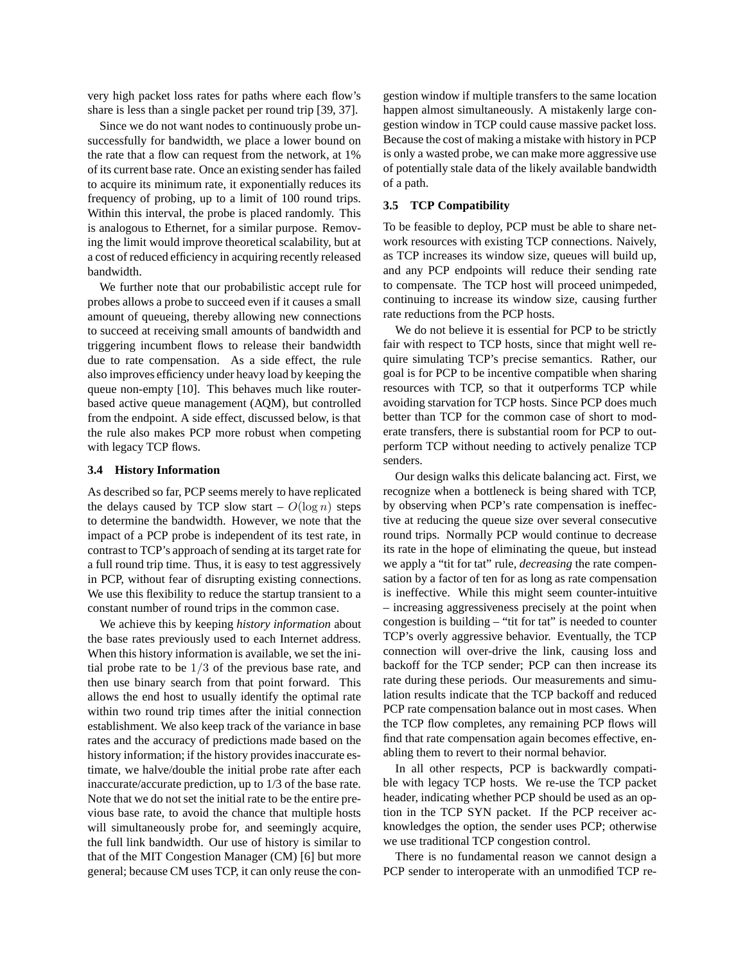very high packet loss rates for paths where each flow's share is less than a single packet per round trip [39, 37].

Since we do not want nodes to continuously probe unsuccessfully for bandwidth, we place a lower bound on the rate that a flow can request from the network, at 1% of its current base rate. Once an existing sender has failed to acquire its minimum rate, it exponentially reduces its frequency of probing, up to a limit of 100 round trips. Within this interval, the probe is placed randomly. This is analogous to Ethernet, for a similar purpose. Removing the limit would improve theoretical scalability, but at a cost of reduced efficiency in acquiring recently released bandwidth.

We further note that our probabilistic accept rule for probes allows a probe to succeed even if it causes a small amount of queueing, thereby allowing new connections to succeed at receiving small amounts of bandwidth and triggering incumbent flows to release their bandwidth due to rate compensation. As a side effect, the rule also improves efficiency under heavy load by keeping the queue non-empty [10]. This behaves much like routerbased active queue management (AQM), but controlled from the endpoint. A side effect, discussed below, is that the rule also makes PCP more robust when competing with legacy TCP flows.

#### **3.4 History Information**

As described so far, PCP seems merely to have replicated the delays caused by TCP slow start –  $O(\log n)$  steps to determine the bandwidth. However, we note that the impact of a PCP probe is independent of its test rate, in contrast to TCP's approach of sending at its target rate for a full round trip time. Thus, it is easy to test aggressively in PCP, without fear of disrupting existing connections. We use this flexibility to reduce the startup transient to a constant number of round trips in the common case.

We achieve this by keeping *history information* about the base rates previously used to each Internet address. When this history information is available, we set the initial probe rate to be  $1/3$  of the previous base rate, and then use binary search from that point forward. This allows the end host to usually identify the optimal rate within two round trip times after the initial connection establishment. We also keep track of the variance in base rates and the accuracy of predictions made based on the history information; if the history provides inaccurate estimate, we halve/double the initial probe rate after each inaccurate/accurate prediction, up to 1/3 of the base rate. Note that we do not set the initial rate to be the entire previous base rate, to avoid the chance that multiple hosts will simultaneously probe for, and seemingly acquire, the full link bandwidth. Our use of history is similar to that of the MIT Congestion Manager (CM) [6] but more general; because CM uses TCP, it can only reuse the congestion window if multiple transfers to the same location happen almost simultaneously. A mistakenly large congestion window in TCP could cause massive packet loss. Because the cost of making a mistake with history in PCP is only a wasted probe, we can make more aggressive use of potentially stale data of the likely available bandwidth of a path.

### **3.5 TCP Compatibility**

To be feasible to deploy, PCP must be able to share network resources with existing TCP connections. Naively, as TCP increases its window size, queues will build up, and any PCP endpoints will reduce their sending rate to compensate. The TCP host will proceed unimpeded, continuing to increase its window size, causing further rate reductions from the PCP hosts.

We do not believe it is essential for PCP to be strictly fair with respect to TCP hosts, since that might well require simulating TCP's precise semantics. Rather, our goal is for PCP to be incentive compatible when sharing resources with TCP, so that it outperforms TCP while avoiding starvation for TCP hosts. Since PCP does much better than TCP for the common case of short to moderate transfers, there is substantial room for PCP to outperform TCP without needing to actively penalize TCP senders.

Our design walks this delicate balancing act. First, we recognize when a bottleneck is being shared with TCP, by observing when PCP's rate compensation is ineffective at reducing the queue size over several consecutive round trips. Normally PCP would continue to decrease its rate in the hope of eliminating the queue, but instead we apply a "tit for tat" rule, *decreasing* the rate compensation by a factor of ten for as long as rate compensation is ineffective. While this might seem counter-intuitive – increasing aggressiveness precisely at the point when congestion is building – "tit for tat" is needed to counter TCP's overly aggressive behavior. Eventually, the TCP connection will over-drive the link, causing loss and backoff for the TCP sender; PCP can then increase its rate during these periods. Our measurements and simulation results indicate that the TCP backoff and reduced PCP rate compensation balance out in most cases. When the TCP flow completes, any remaining PCP flows will find that rate compensation again becomes effective, enabling them to revert to their normal behavior.

In all other respects, PCP is backwardly compatible with legacy TCP hosts. We re-use the TCP packet header, indicating whether PCP should be used as an option in the TCP SYN packet. If the PCP receiver acknowledges the option, the sender uses PCP; otherwise we use traditional TCP congestion control.

There is no fundamental reason we cannot design a PCP sender to interoperate with an unmodified TCP re-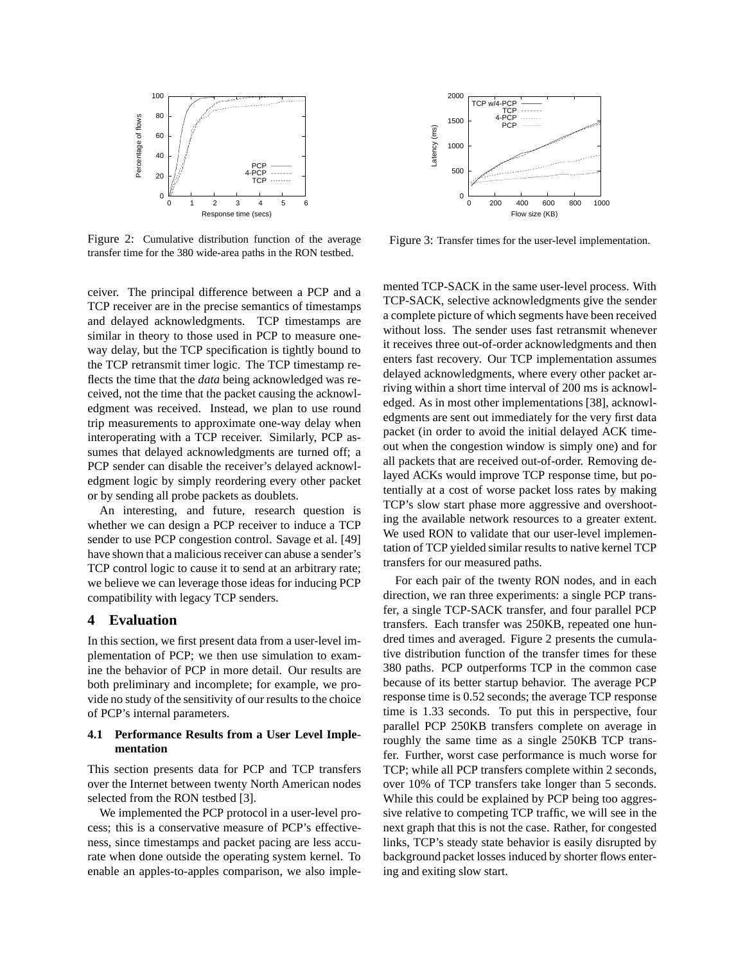

Figure 2: Cumulative distribution function of the average transfer time for the 380 wide-area paths in the RON testbed.

ceiver. The principal difference between a PCP and a TCP receiver are in the precise semantics of timestamps and delayed acknowledgments. TCP timestamps are similar in theory to those used in PCP to measure oneway delay, but the TCP specification is tightly bound to the TCP retransmit timer logic. The TCP timestamp reflects the time that the *data* being acknowledged was received, not the time that the packet causing the acknowledgment was received. Instead, we plan to use round trip measurements to approximate one-way delay when interoperating with a TCP receiver. Similarly, PCP assumes that delayed acknowledgments are turned off; a PCP sender can disable the receiver's delayed acknowledgment logic by simply reordering every other packet or by sending all probe packets as doublets.

An interesting, and future, research question is whether we can design a PCP receiver to induce a TCP sender to use PCP congestion control. Savage et al. [49] have shown that a malicious receiver can abuse a sender's TCP control logic to cause it to send at an arbitrary rate; we believe we can leverage those ideas for inducing PCP compatibility with legacy TCP senders.

## **4 Evaluation**

In this section, we first present data from a user-level implementation of PCP; we then use simulation to examine the behavior of PCP in more detail. Our results are both preliminary and incomplete; for example, we provide no study of the sensitivity of our results to the choice of PCP's internal parameters.

# **4.1 Performance Results from a User Level Implementation**

This section presents data for PCP and TCP transfers over the Internet between twenty North American nodes selected from the RON testbed [3].

We implemented the PCP protocol in a user-level process; this is a conservative measure of PCP's effectiveness, since timestamps and packet pacing are less accurate when done outside the operating system kernel. To enable an apples-to-apples comparison, we also imple-



Figure 3: Transfer times for the user-level implementation.

mented TCP-SACK in the same user-level process. With TCP-SACK, selective acknowledgments give the sender a complete picture of which segments have been received without loss. The sender uses fast retransmit whenever it receives three out-of-order acknowledgments and then enters fast recovery. Our TCP implementation assumes delayed acknowledgments, where every other packet arriving within a short time interval of 200 ms is acknowledged. As in most other implementations [38], acknowledgments are sent out immediately for the very first data packet (in order to avoid the initial delayed ACK timeout when the congestion window is simply one) and for all packets that are received out-of-order. Removing delayed ACKs would improve TCP response time, but potentially at a cost of worse packet loss rates by making TCP's slow start phase more aggressive and overshooting the available network resources to a greater extent. We used RON to validate that our user-level implementation of TCP yielded similar results to native kernel TCP transfers for our measured paths.

For each pair of the twenty RON nodes, and in each direction, we ran three experiments: a single PCP transfer, a single TCP-SACK transfer, and four parallel PCP transfers. Each transfer was 250KB, repeated one hundred times and averaged. Figure 2 presents the cumulative distribution function of the transfer times for these 380 paths. PCP outperforms TCP in the common case because of its better startup behavior. The average PCP response time is 0.52 seconds; the average TCP response time is 1.33 seconds. To put this in perspective, four parallel PCP 250KB transfers complete on average in roughly the same time as a single 250KB TCP transfer. Further, worst case performance is much worse for TCP; while all PCP transfers complete within 2 seconds, over 10% of TCP transfers take longer than 5 seconds. While this could be explained by PCP being too aggressive relative to competing TCP traffic, we will see in the next graph that this is not the case. Rather, for congested links, TCP's steady state behavior is easily disrupted by background packet losses induced by shorter flows entering and exiting slow start.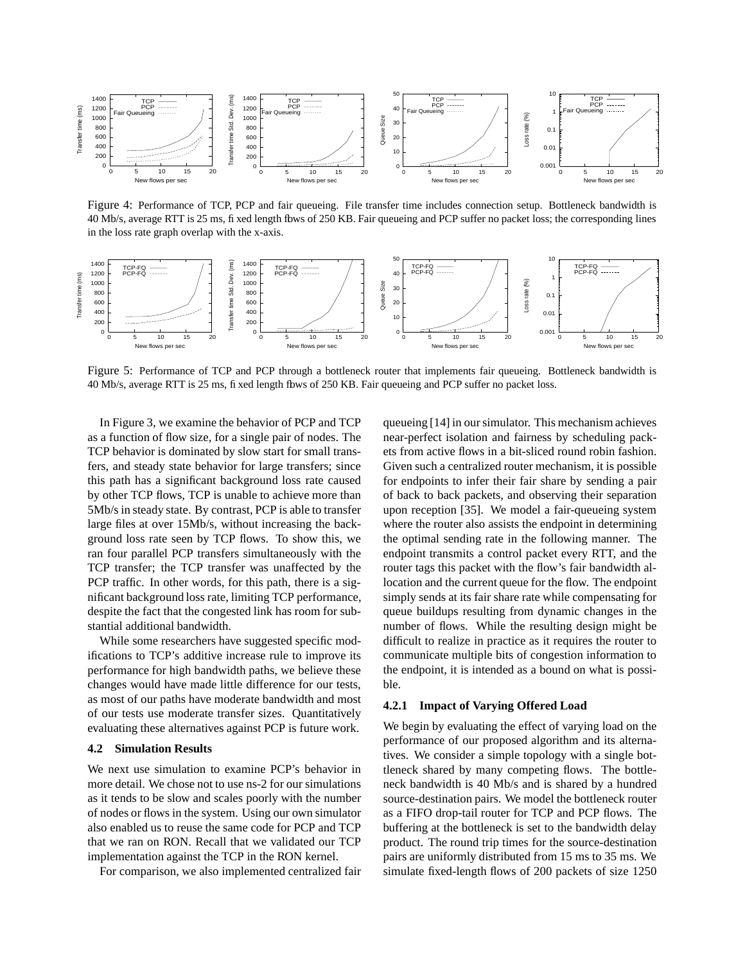

Figure 4: Performance of TCP, PCP and fair queueing. File transfer time includes connection setup. Bottleneck bandwidth is 40 Mb/s, average RTT is 25 ms, fixed length fbws of 250 KB. Fair queueing and PCP suffer no packet loss; the corresponding lines in the loss rate graph overlap with the x-axis.



Figure 5: Performance of TCP and PCP through a bottleneck router that implements fair queueing. Bottleneck bandwidth is 40 Mb/s, average RTT is 25 ms, fixed length flows of 250 KB. Fair queueing and PCP suffer no packet loss.

In Figure 3, we examine the behavior of PCP and TCP as a function of flow size, for a single pair of nodes. The TCP behavior is dominated by slow start for small transfers, and steady state behavior for large transfers; since this path has a significant background loss rate caused by other TCP flows, TCP is unable to achieve more than 5Mb/s in steady state. By contrast, PCP is able to transfer large files at over 15Mb/s, without increasing the background loss rate seen by TCP flows. To show this, we ran four parallel PCP transfers simultaneously with the TCP transfer; the TCP transfer was unaffected by the PCP traffic. In other words, for this path, there is a significant background loss rate, limiting TCP performance, despite the fact that the congested link has room for substantial additional bandwidth.

While some researchers have suggested specific modifications to TCP's additive increase rule to improve its performance for high bandwidth paths, we believe these changes would have made little difference for our tests, as most of our paths have moderate bandwidth and most of our tests use moderate transfer sizes. Quantitatively evaluating these alternatives against PCP is future work.

### **4.2 Simulation Results**

We next use simulation to examine PCP's behavior in more detail. We chose not to use ns-2 for our simulations as it tends to be slow and scales poorly with the number of nodes or flows in the system. Using our own simulator also enabled us to reuse the same code for PCP and TCP that we ran on RON. Recall that we validated our TCP implementation against the TCP in the RON kernel.

For comparison, we also implemented centralized fair

queueing [14] in oursimulator. This mechanism achieves near-perfect isolation and fairness by scheduling packets from active flows in a bit-sliced round robin fashion. Given such a centralized router mechanism, it is possible for endpoints to infer their fair share by sending a pair of back to back packets, and observing their separation upon reception [35]. We model a fair-queueing system where the router also assists the endpoint in determining the optimal sending rate in the following manner. The endpoint transmits a control packet every RTT, and the router tags this packet with the flow's fair bandwidth allocation and the current queue for the flow. The endpoint simply sends at its fair share rate while compensating for queue buildups resulting from dynamic changes in the number of flows. While the resulting design might be difficult to realize in practice as it requires the router to communicate multiple bits of congestion information to the endpoint, it is intended as a bound on what is possible.

#### **4.2.1 Impact of Varying Offered Load**

We begin by evaluating the effect of varying load on the performance of our proposed algorithm and its alternatives. We consider a simple topology with a single bottleneck shared by many competing flows. The bottleneck bandwidth is 40 Mb/s and is shared by a hundred source-destination pairs. We model the bottleneck router as a FIFO drop-tail router for TCP and PCP flows. The buffering at the bottleneck is set to the bandwidth delay product. The round trip times for the source-destination pairs are uniformly distributed from 15 ms to 35 ms. We simulate fixed-length flows of 200 packets of size 1250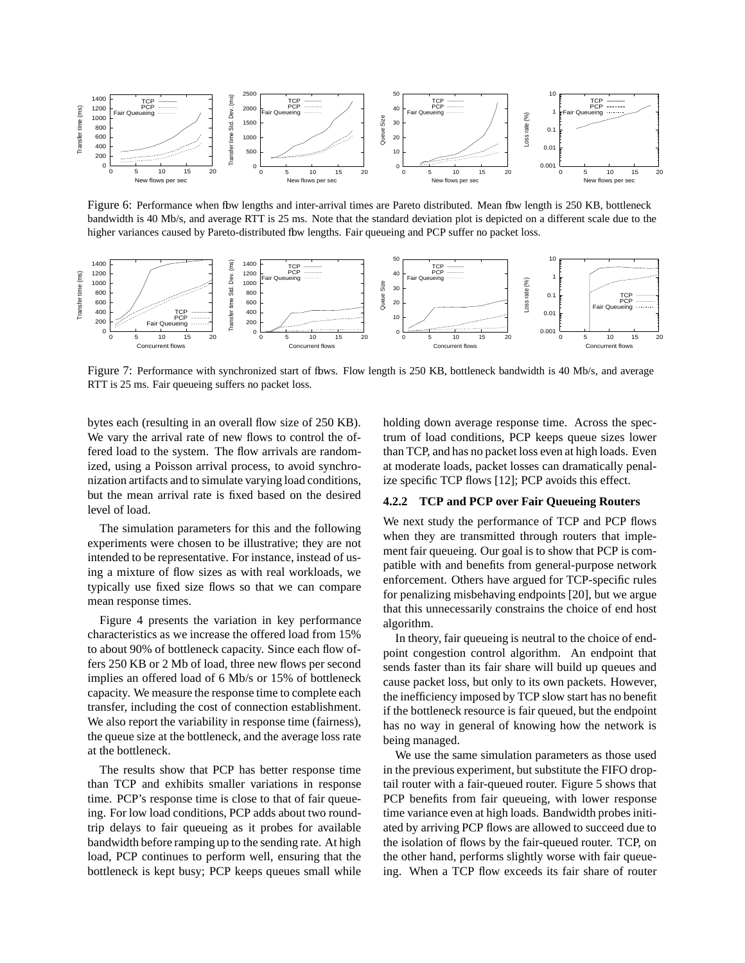

Figure 6: Performance when flow lengths and inter-arrival times are Pareto distributed. Mean flow length is 250 KB, bottleneck bandwidth is 40 Mb/s, and average RTT is 25 ms. Note that the standard deviation plot is depicted on a different scale due to the higher variances caused by Pareto-distributed fbw lengths. Fair queueing and PCP suffer no packet loss.



Figure 7: Performance with synchronized start of fbws. Flow length is 250 KB, bottleneck bandwidth is 40 Mb/s, and average RTT is 25 ms. Fair queueing suffers no packet loss.

bytes each (resulting in an overall flow size of 250 KB). We vary the arrival rate of new flows to control the offered load to the system. The flow arrivals are randomized, using a Poisson arrival process, to avoid synchronization artifacts and to simulate varying load conditions, but the mean arrival rate is fixed based on the desired level of load.

The simulation parameters for this and the following experiments were chosen to be illustrative; they are not intended to be representative. For instance, instead of using a mixture of flow sizes as with real workloads, we typically use fixed size flows so that we can compare mean response times.

Figure 4 presents the variation in key performance characteristics as we increase the offered load from 15% to about 90% of bottleneck capacity. Since each flow offers 250 KB or 2 Mb of load, three new flows per second implies an offered load of 6 Mb/s or 15% of bottleneck capacity. We measure the response time to complete each transfer, including the cost of connection establishment. We also report the variability in response time (fairness), the queue size at the bottleneck, and the average loss rate at the bottleneck.

The results show that PCP has better response time than TCP and exhibits smaller variations in response time. PCP's response time is close to that of fair queueing. For low load conditions, PCP adds about two roundtrip delays to fair queueing as it probes for available bandwidth before ramping up to the sending rate. At high load, PCP continues to perform well, ensuring that the bottleneck is kept busy; PCP keeps queues small while holding down average response time. Across the spectrum of load conditions, PCP keeps queue sizes lower than TCP, and has no packet loss even at high loads. Even at moderate loads, packet losses can dramatically penalize specific TCP flows [12]; PCP avoids this effect.

# **4.2.2 TCP and PCP over Fair Queueing Routers**

We next study the performance of TCP and PCP flows when they are transmitted through routers that implement fair queueing. Our goal is to show that PCP is compatible with and benefits from general-purpose network enforcement. Others have argued for TCP-specific rules for penalizing misbehaving endpoints [20], but we argue that this unnecessarily constrains the choice of end host algorithm.

In theory, fair queueing is neutral to the choice of endpoint congestion control algorithm. An endpoint that sends faster than its fair share will build up queues and cause packet loss, but only to its own packets. However, the inefficiency imposed by TCP slow start has no benefit if the bottleneck resource is fair queued, but the endpoint has no way in general of knowing how the network is being managed.

We use the same simulation parameters as those used in the previous experiment, but substitute the FIFO droptail router with a fair-queued router. Figure 5 shows that PCP benefits from fair queueing, with lower response time variance even at high loads. Bandwidth probes initiated by arriving PCP flows are allowed to succeed due to the isolation of flows by the fair-queued router. TCP, on the other hand, performs slightly worse with fair queueing. When a TCP flow exceeds its fair share of router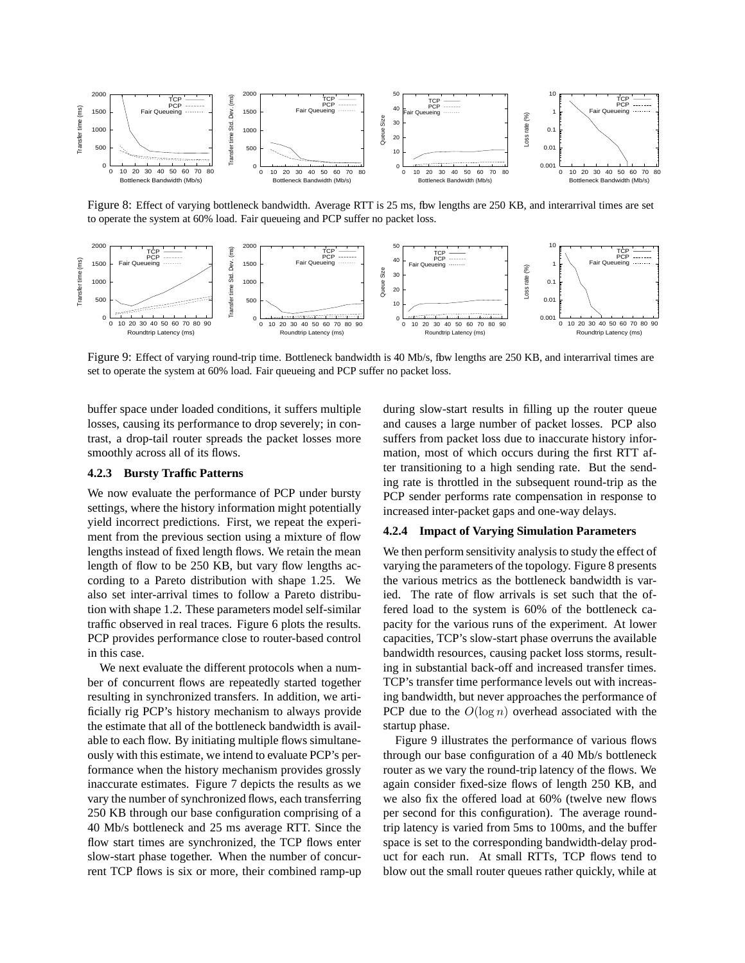

Figure 8: Effect of varying bottleneck bandwidth. Average RTT is 25 ms, fbw lengths are 250 KB, and interarrival times are set to operate the system at 60% load. Fair queueing and PCP suffer no packet loss.



Figure 9: Effect of varying round-trip time. Bottleneck bandwidth is 40 Mb/s, fbw lengths are 250 KB, and interarrival times are set to operate the system at 60% load. Fair queueing and PCP suffer no packet loss.

buffer space under loaded conditions, it suffers multiple losses, causing its performance to drop severely; in contrast, a drop-tail router spreads the packet losses more smoothly across all of its flows.

#### **4.2.3 Bursty Traffic Patterns**

We now evaluate the performance of PCP under bursty settings, where the history information might potentially yield incorrect predictions. First, we repeat the experiment from the previous section using a mixture of flow lengths instead of fixed length flows. We retain the mean length of flow to be 250 KB, but vary flow lengths according to a Pareto distribution with shape 1.25. We also set inter-arrival times to follow a Pareto distribution with shape 1.2. These parameters model self-similar traffic observed in real traces. Figure 6 plots the results. PCP provides performance close to router-based control in this case.

We next evaluate the different protocols when a number of concurrent flows are repeatedly started together resulting in synchronized transfers. In addition, we artificially rig PCP's history mechanism to always provide the estimate that all of the bottleneck bandwidth is available to each flow. By initiating multiple flows simultaneously with this estimate, we intend to evaluate PCP's performance when the history mechanism provides grossly inaccurate estimates. Figure 7 depicts the results as we vary the number of synchronized flows, each transferring 250 KB through our base configuration comprising of a 40 Mb/s bottleneck and 25 ms average RTT. Since the flow start times are synchronized, the TCP flows enter slow-start phase together. When the number of concurrent TCP flows is six or more, their combined ramp-up during slow-start results in filling up the router queue and causes a large number of packet losses. PCP also suffers from packet loss due to inaccurate history information, most of which occurs during the first RTT after transitioning to a high sending rate. But the sending rate is throttled in the subsequent round-trip as the PCP sender performs rate compensation in response to increased inter-packet gaps and one-way delays.

#### **4.2.4 Impact of Varying Simulation Parameters**

We then perform sensitivity analysis to study the effect of varying the parameters of the topology. Figure 8 presents the various metrics as the bottleneck bandwidth is varied. The rate of flow arrivals is set such that the offered load to the system is 60% of the bottleneck capacity for the various runs of the experiment. At lower capacities, TCP's slow-start phase overruns the available bandwidth resources, causing packet loss storms, resulting in substantial back-off and increased transfer times. TCP's transfer time performance levels out with increasing bandwidth, but never approaches the performance of PCP due to the  $O(\log n)$  overhead associated with the startup phase.

Figure 9 illustrates the performance of various flows through our base configuration of a 40 Mb/s bottleneck router as we vary the round-trip latency of the flows. We again consider fixed-size flows of length 250 KB, and we also fix the offered load at 60% (twelve new flows per second for this configuration). The average roundtrip latency is varied from 5ms to 100ms, and the buffer space is set to the corresponding bandwidth-delay product for each run. At small RTTs, TCP flows tend to blow out the small router queues rather quickly, while at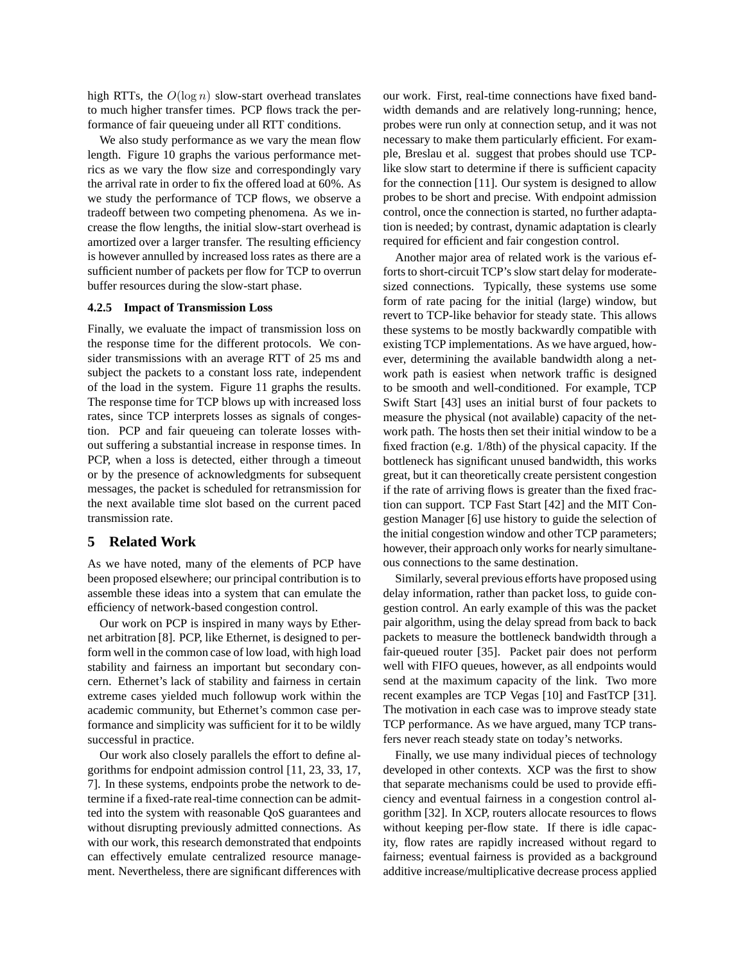high RTTs, the  $O(\log n)$  slow-start overhead translates to much higher transfer times. PCP flows track the performance of fair queueing under all RTT conditions.

We also study performance as we vary the mean flow length. Figure 10 graphs the various performance metrics as we vary the flow size and correspondingly vary the arrival rate in order to fix the offered load at 60%. As we study the performance of TCP flows, we observe a tradeoff between two competing phenomena. As we increase the flow lengths, the initial slow-start overhead is amortized over a larger transfer. The resulting efficiency is however annulled by increased loss rates as there are a sufficient number of packets per flow for TCP to overrun buffer resources during the slow-start phase.

#### **4.2.5 Impact of Transmission Loss**

Finally, we evaluate the impact of transmission loss on the response time for the different protocols. We consider transmissions with an average RTT of 25 ms and subject the packets to a constant loss rate, independent of the load in the system. Figure 11 graphs the results. The response time for TCP blows up with increased loss rates, since TCP interprets losses as signals of congestion. PCP and fair queueing can tolerate losses without suffering a substantial increase in response times. In PCP, when a loss is detected, either through a timeout or by the presence of acknowledgments for subsequent messages, the packet is scheduled for retransmission for the next available time slot based on the current paced transmission rate.

### **5 Related Work**

As we have noted, many of the elements of PCP have been proposed elsewhere; our principal contribution is to assemble these ideas into a system that can emulate the efficiency of network-based congestion control.

Our work on PCP is inspired in many ways by Ethernet arbitration [8]. PCP, like Ethernet, is designed to perform well in the common case of low load, with high load stability and fairness an important but secondary concern. Ethernet's lack of stability and fairness in certain extreme cases yielded much followup work within the academic community, but Ethernet's common case performance and simplicity was sufficient for it to be wildly successful in practice.

Our work also closely parallels the effort to define algorithms for endpoint admission control [11, 23, 33, 17, 7]. In these systems, endpoints probe the network to determine if a fixed-rate real-time connection can be admitted into the system with reasonable QoS guarantees and without disrupting previously admitted connections. As with our work, this research demonstrated that endpoints can effectively emulate centralized resource management. Nevertheless, there are significant differences with our work. First, real-time connections have fixed bandwidth demands and are relatively long-running; hence, probes were run only at connection setup, and it was not necessary to make them particularly efficient. For example, Breslau et al. suggest that probes should use TCPlike slow start to determine if there is sufficient capacity for the connection [11]. Our system is designed to allow probes to be short and precise. With endpoint admission control, once the connection is started, no further adaptation is needed; by contrast, dynamic adaptation is clearly required for efficient and fair congestion control.

Another major area of related work is the various efforts to short-circuit TCP's slow start delay for moderatesized connections. Typically, these systems use some form of rate pacing for the initial (large) window, but revert to TCP-like behavior for steady state. This allows these systems to be mostly backwardly compatible with existing TCP implementations. As we have argued, however, determining the available bandwidth along a network path is easiest when network traffic is designed to be smooth and well-conditioned. For example, TCP Swift Start [43] uses an initial burst of four packets to measure the physical (not available) capacity of the network path. The hosts then set their initial window to be a fixed fraction (e.g. 1/8th) of the physical capacity. If the bottleneck has significant unused bandwidth, this works great, but it can theoretically create persistent congestion if the rate of arriving flows is greater than the fixed fraction can support. TCP Fast Start [42] and the MIT Congestion Manager [6] use history to guide the selection of the initial congestion window and other TCP parameters; however, their approach only works for nearly simultaneous connections to the same destination.

Similarly, several previous efforts have proposed using delay information, rather than packet loss, to guide congestion control. An early example of this was the packet pair algorithm, using the delay spread from back to back packets to measure the bottleneck bandwidth through a fair-queued router [35]. Packet pair does not perform well with FIFO queues, however, as all endpoints would send at the maximum capacity of the link. Two more recent examples are TCP Vegas [10] and FastTCP [31]. The motivation in each case was to improve steady state TCP performance. As we have argued, many TCP transfers never reach steady state on today's networks.

Finally, we use many individual pieces of technology developed in other contexts. XCP was the first to show that separate mechanisms could be used to provide efficiency and eventual fairness in a congestion control algorithm [32]. In XCP, routers allocate resources to flows without keeping per-flow state. If there is idle capacity, flow rates are rapidly increased without regard to fairness; eventual fairness is provided as a background additive increase/multiplicative decrease process applied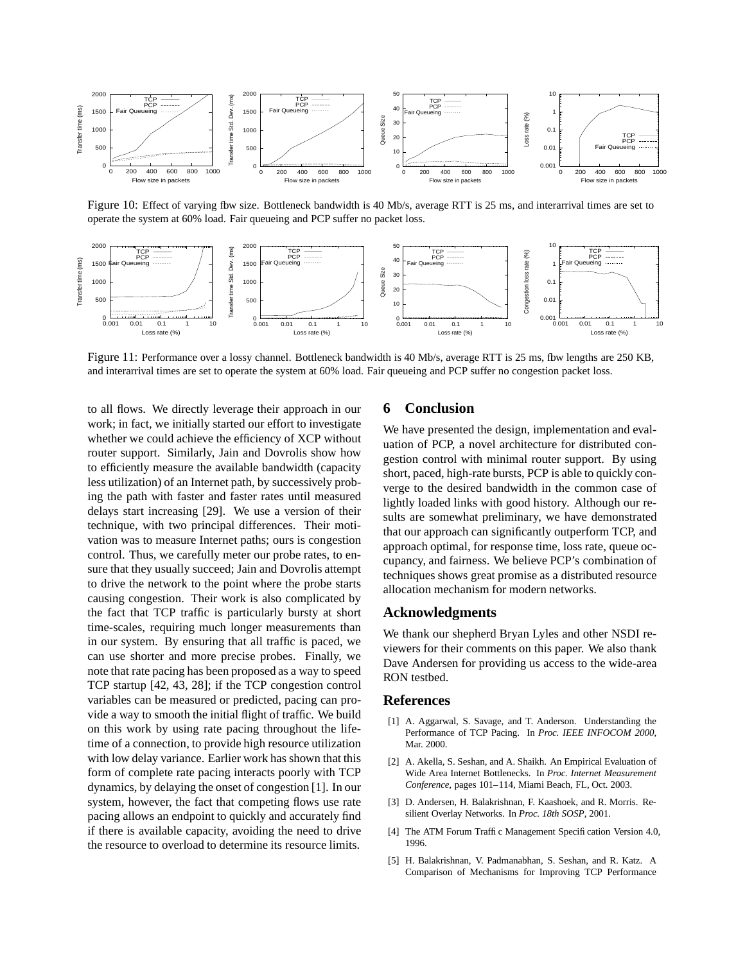

Figure 10: Effect of varying fbw size. Bottleneck bandwidth is 40 Mb/s, average RTT is 25 ms, and interarrival times are set to operate the system at 60% load. Fair queueing and PCP suffer no packet loss.



Figure 11: Performance over a lossy channel. Bottleneck bandwidth is 40 Mb/s, average RTT is 25 ms, fbw lengths are 250 KB, and interarrival times are set to operate the system at 60% load. Fair queueing and PCP suffer no congestion packet loss.

to all flows. We directly leverage their approach in our work; in fact, we initially started our effort to investigate whether we could achieve the efficiency of XCP without router support. Similarly, Jain and Dovrolis show how to efficiently measure the available bandwidth (capacity less utilization) of an Internet path, by successively probing the path with faster and faster rates until measured delays start increasing [29]. We use a version of their technique, with two principal differences. Their motivation was to measure Internet paths; ours is congestion control. Thus, we carefully meter our probe rates, to ensure that they usually succeed; Jain and Dovrolis attempt to drive the network to the point where the probe starts causing congestion. Their work is also complicated by the fact that TCP traffic is particularly bursty at short time-scales, requiring much longer measurements than in our system. By ensuring that all traffic is paced, we can use shorter and more precise probes. Finally, we note that rate pacing has been proposed as a way to speed TCP startup [42, 43, 28]; if the TCP congestion control variables can be measured or predicted, pacing can provide a way to smooth the initial flight of traffic. We build on this work by using rate pacing throughout the lifetime of a connection, to provide high resource utilization with low delay variance. Earlier work has shown that this form of complete rate pacing interacts poorly with TCP dynamics, by delaying the onset of congestion [1]. In our system, however, the fact that competing flows use rate pacing allows an endpoint to quickly and accurately find if there is available capacity, avoiding the need to drive the resource to overload to determine its resource limits.

# **6 Conclusion**

We have presented the design, implementation and evaluation of PCP, a novel architecture for distributed congestion control with minimal router support. By using short, paced, high-rate bursts, PCP is able to quickly converge to the desired bandwidth in the common case of lightly loaded links with good history. Although our results are somewhat preliminary, we have demonstrated that our approach can significantly outperform TCP, and approach optimal, for response time, loss rate, queue occupancy, and fairness. We believe PCP's combination of techniques shows great promise as a distributed resource allocation mechanism for modern networks.

#### **Acknowledgments**

We thank our shepherd Bryan Lyles and other NSDI reviewers for their comments on this paper. We also thank Dave Andersen for providing us access to the wide-area RON testbed.

# **References**

- [1] A. Aggarwal, S. Savage, and T. Anderson. Understanding the Performance of TCP Pacing. In *Proc. IEEE INFOCOM 2000*, Mar. 2000.
- [2] A. Akella, S. Seshan, and A. Shaikh. An Empirical Evaluation of Wide Area Internet Bottlenecks. In *Proc. Internet Measurement Conference*, pages 101–114, Miami Beach, FL, Oct. 2003.
- [3] D. Andersen, H. Balakrishnan, F. Kaashoek, and R. Morris. Resilient Overlay Networks. In *Proc. 18th SOSP*, 2001.
- [4] The ATM Forum Traffic Management Specification Version 4.0, 1996.
- [5] H. Balakrishnan, V. Padmanabhan, S. Seshan, and R. Katz. A Comparison of Mechanisms for Improving TCP Performance